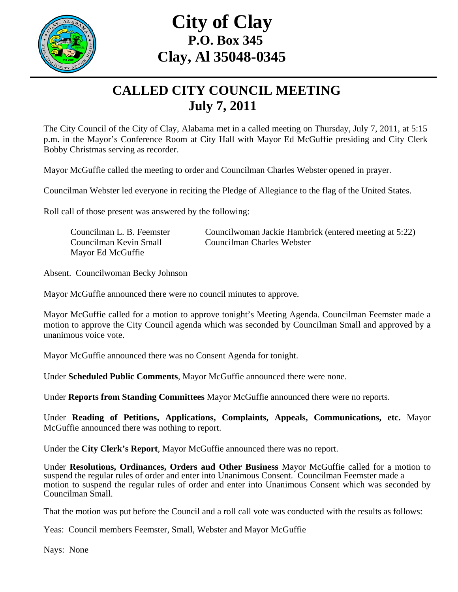

## **City of Clay P.O. Box 345 Clay, Al 35048-0345**

## **CALLED CITY COUNCIL MEETING July 7, 2011**

The City Council of the City of Clay, Alabama met in a called meeting on Thursday, July 7, 2011, at 5:15 p.m. in the Mayor's Conference Room at City Hall with Mayor Ed McGuffie presiding and City Clerk Bobby Christmas serving as recorder.

Mayor McGuffie called the meeting to order and Councilman Charles Webster opened in prayer.

Councilman Webster led everyone in reciting the Pledge of Allegiance to the flag of the United States.

Roll call of those present was answered by the following:

| Councilman L. B. Feemster | Councilwoman Jackie Hambrick (entered meeting at 5:22) |
|---------------------------|--------------------------------------------------------|
| Councilman Kevin Small    | Councilman Charles Webster                             |
| Mayor Ed McGuffie         |                                                        |

Absent. Councilwoman Becky Johnson

Mayor McGuffie announced there were no council minutes to approve.

Mayor McGuffie called for a motion to approve tonight's Meeting Agenda. Councilman Feemster made a motion to approve the City Council agenda which was seconded by Councilman Small and approved by a unanimous voice vote.

Mayor McGuffie announced there was no Consent Agenda for tonight.

Under **Scheduled Public Comments**, Mayor McGuffie announced there were none.

Under **Reports from Standing Committees** Mayor McGuffie announced there were no reports.

Under **Reading of Petitions, Applications, Complaints, Appeals, Communications, etc.** Mayor McGuffie announced there was nothing to report.

Under the **City Clerk's Report**, Mayor McGuffie announced there was no report.

Under **Resolutions, Ordinances, Orders and Other Business** Mayor McGuffie called for a motion to suspend the regular rules of order and enter into Unanimous Consent. Councilman Feemster made a motion to suspend the regular rules of order and enter into Unanimous Consent which was seconded by Councilman Small.

That the motion was put before the Council and a roll call vote was conducted with the results as follows:

Yeas: Council members Feemster, Small, Webster and Mayor McGuffie

Nays: None